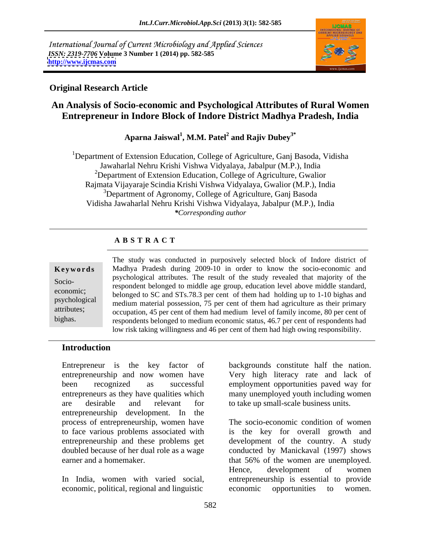International Journal of Current Microbiology and Applied Sciences *ISSN: 2319-7706* **Volume 3 Number 1 (2014) pp. 582-585 <http://www.ijcmas.com>**



## **Original Research Article**

## **An Analysis of Socio-economic and Psychological Attributes of Rural Women Entrepreneur in Indore Block of Indore District Madhya Pradesh, India**

**Aparna Jaiswal<sup>1</sup> , M.M. Patel<sup>2</sup> and Rajiv Dubey3\***

<sup>1</sup>Department of Extension Education, College of Agriculture, Ganj Basoda, Vidisha Jawaharlal Nehru Krishi Vishwa Vidyalaya, Jabalpur (M.P.), India <sup>2</sup>Department of Extension Education, College of Agriculture, Gwalior Rajmata Vijayaraje Scindia Krishi Vishwa Vidyalaya, Gwalior (M.P.), India <sup>3</sup>Department of Agronomy, College of Agriculture, Ganj Basoda Vidisha Jawaharlal Nehru Krishi Vishwa Vidyalaya, Jabalpur (M.P.), India *\*Corresponding author*

## **A B S T R A C T**

**Keywords** Madhya Pradesh during 2009-10 in order to know the socio-economic and Socio- respondent belonged to middle age group, education level above middle standard, economic;<br>belonged to SC and STs.78.3 per cent of them had holding up to 1-10 bighas and psychological medium material possession, 75 per cent of them had agriculture as their primary attributes; occupation, 45 per cent of them had medium level of family income, 80 per cent of **Example 19 The study was conducted in purposively selected block of Indore district of**<br> **Keywords**<br> **Socio-**<br> **Socio-**<br> **Example 19 Socio-**<br> **Example 19 Socio-**<br> **Example 19 Socio-**<br> **Example 19 Socio-**<br> **Example 19 Soci** psychological attributes. The result of the study revealed that majority of the respondents belonged to medium economic status, 46.7 per cent of respondents had low risk taking willingness and 46 per cent of them had high owing responsibility.

### **Introduction**

entrepreneurship and now women have Very high literacy rate and lack of been recognized as successful employment opportunities paved way for entrepreneurs as they have qualities which many unemployed youth including women are desirable and relevant for to take up small-scale business units. entrepreneurship development. In the process of entrepreneurship, women have earner and a homemaker. The same of that 56% of the women are unemployed.

economic, political, regional and linguistic economic opportunities to women.

Entrepreneur is the key factor of backgrounds constitute half the nation.

to face various problems associated with is the key for overall growth and entrepreneurship and these problems get development of the country. A study doubled because of her dual role as a wage conducted by Manickaval (1997) shows In India, women with varied social, entrepreneurship is essential to provide The socio-economic condition of women that 56% of the women are unemployed. Hence, development of women economic opportunities to women.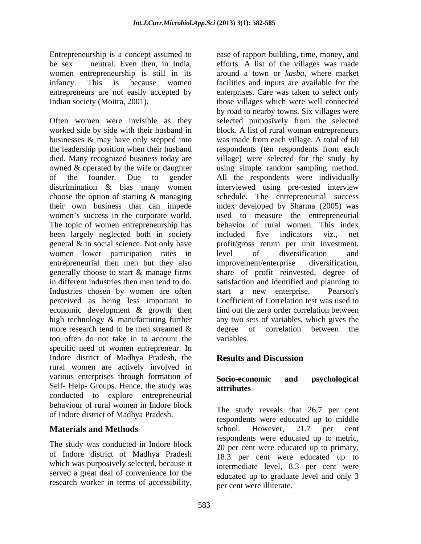women entrepreneurship is still in its

Often women were invisible as they selected purposively from the selected worked side by side with their husband in businesses & may have only stepped into was made from each village. A total of 60 the leadership position when their husband respondents (ten respondents from each died. Many recognized business today are village) were selected for the study by owned & operated by the wife or daughter using simple random sampling method. of the founder. Due to gender All the respondents were individually discrimination & bias many women interviewed using pre-tested interview choose the option of starting & managing schedule. The entrepreneurial success their own business that can impede index developed by Sharma (2005) was women's success in the corporate world. used to measure the entrepreneurial The topic of women entrepreneurship has behavior of rural women. This index been largely neglected both in society included five indicators viz., net general & in social science. Not only have profit/gross return per unit investment, women lower participation rates in level of diversification and entrepreneurial then men but they also improvement/enterprise diversification, generally choose to start & manage firms share of profit reinvested, degree of in different industries then men tend to do. Satisfaction and identified and planning to Industries chosen by women are often start a new enterprise. Pearson's perceived as being less important to economic development & growth then high technology & manufacturing further any two sets of variables, which gives the more research tend to be men streamed  $\&$  degree of correlation between the too often do not take in to account the specific need of women entrepreneur. In Indore district of Madhya Pradesh, the **Results and Discussion** rural women are actively involved in various enterprises through formation of Socio-economic and psychological Self- Help- Groups. Hence, the study was attributes conducted to explore entrepreneurial behaviour of rural women in Indore block of Indore district of Madhya Pradesh.

The study was conducted in Indore block of Indore district of Madhya Pradesh which was purposively selected, because it served a great deal of convenience for the research worker in terms of accessibility,

Entrepreneurship is a concept assumed to ease of rapport building, time, money, and be sex neutral. Even then, in India, efforts. A list of the villages was made infancy. This is because women facilities and inputs are available for the entrepreneurs are not easily accepted by enterprises. Care was taken to select only Indian society (Moitra, 2001). those villages which were well connected around a town or *kasba*, where market by road to nearby towns. Six villages were block. A list of rural woman entrepreneurs included five indicators viz., net level of diversification and improvement/enterprise diversification, start a new enterprise. Pearson's Coefficient of Correlation test was used to find out the zero order correlation between degree of correlation between the variables.

## **Results and Discussion**

## **Socio-economic and psychological attributes**

**Materials and Methods** school. However, 21.7 per cent The study reveals that 26.7 per cent respondents were educated up to middle school. However, 21.7 per cent respondents were educated up to metric, 20 per cent were educated up to primary, 18.3 per cent were educated up to intermediate level, 8.3 per cent were educated up to graduate level and only 3 per cent were illiterate.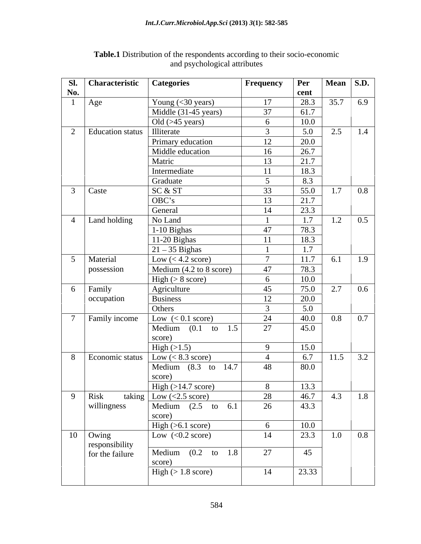| cent<br>28.3<br>$35.7$ 6.9<br>Young $(<$ 30 years)<br>17<br>Age<br>Middle (31-45 years)<br>37<br>61.7<br>10.0<br>Old $($ >45 years $)$<br>6<br>5.0<br>$2.5$   1.4<br>Illiterate<br>$\overline{3}$<br><b>Education</b> status<br>20.0<br>12<br>Primary education<br>26.7<br>Middle education<br>16<br>21.7<br>Matric<br>13<br>18.3<br>Intermediate<br><sup>11</sup><br>8.3<br>Graduate<br>$\sim$ 5<br>55.0<br>$1.7 \quad 0.8$<br>SC & ST<br>33<br>OBC's<br>21.7<br>13<br>23.3<br>General<br>14<br>1.7<br>Land holding<br>$1.2 \,   \, 0.5 \,  $<br>No Land<br>78.3<br>1-10 Bighas<br>47<br>18.3<br>11-20 Bighas<br>-11<br>1.7<br>$21 - 35$ Bighas<br>$\overline{11.7}$<br>$\overline{7}$<br>6.1   1.9<br>Low $(< 4.2$ score)<br>Material<br>78.3<br>47<br>Medium $(4.2 \text{ to } 8 \text{ score})$<br>possession<br>10.0<br>$High \; (> 8 \; score)$<br>6<br>75.0<br>Family<br>Agriculture<br>45<br>2.7<br>$0.6\,$<br>20.0<br><b>Business</b><br>12<br>  occupation<br>5.0<br>Others<br>$\mathcal{R}$<br>$0.8$ 0.7<br>Family income<br>Low $(< 0.1$ score)<br>24<br>40.0<br>27<br>Medium $(0.1 \text{ to } 1.5)$<br>45.0<br>score)<br>15.0<br>$\text{High} (>1.5)$<br>$\mathbf{Q}$<br>6.7<br>$11.5$ 3.2<br>Economic status $\vert$ Low (< 8.3 score)<br>$\overline{4}$<br>Medium $(8.3 \text{ to } 14.7)$<br>48<br>80.0<br>score)<br>13.3<br>$\boxed{\text{High} (>14.7 \text{ score})}$<br>8<br>46.7<br>taking $\boxed{\text{Low}(<2.5 \text{ score})}$<br>28<br>4.3   1.8<br>Risk<br>willingness<br>43.3<br>Medium $(2.5 \text{ to } 6.1)$<br>26<br>score)<br>$\sqrt{\text{High}(>6.1 \text{ score})}$<br>10.0<br>6<br>Low $(<0.2 \text{ score})$<br>23.3<br>$1.0 \ 0.8$<br>14<br>responsibility<br>for the failure<br>Medium $(0.2 \text{ to } 1.8)$<br>27<br>45<br>score)<br>23.33<br>$\text{High} (> 1.8 \text{ score})$<br>14 | Sl. | Characteristic   Categories | <b>Frequency</b> | Per | Mean $\vert$ S.D. |  |
|--------------------------------------------------------------------------------------------------------------------------------------------------------------------------------------------------------------------------------------------------------------------------------------------------------------------------------------------------------------------------------------------------------------------------------------------------------------------------------------------------------------------------------------------------------------------------------------------------------------------------------------------------------------------------------------------------------------------------------------------------------------------------------------------------------------------------------------------------------------------------------------------------------------------------------------------------------------------------------------------------------------------------------------------------------------------------------------------------------------------------------------------------------------------------------------------------------------------------------------------------------------------------------------------------------------------------------------------------------------------------------------------------------------------------------------------------------------------------------------------------------------------------------------------------------------------------------------------------------------------------------------------------------------------------------------------------------------------------------------------------------------------------------------------------------------------------------------|-----|-----------------------------|------------------|-----|-------------------|--|
| $\gamma$<br>$3$ Caste<br>$\overline{4}$<br>$5\overline{)}$<br>6<br>$7\overline{ }$<br>8<br>9<br>$10$ Owing                                                                                                                                                                                                                                                                                                                                                                                                                                                                                                                                                                                                                                                                                                                                                                                                                                                                                                                                                                                                                                                                                                                                                                                                                                                                                                                                                                                                                                                                                                                                                                                                                                                                                                                           | No. |                             |                  |     |                   |  |
|                                                                                                                                                                                                                                                                                                                                                                                                                                                                                                                                                                                                                                                                                                                                                                                                                                                                                                                                                                                                                                                                                                                                                                                                                                                                                                                                                                                                                                                                                                                                                                                                                                                                                                                                                                                                                                      |     |                             |                  |     |                   |  |
|                                                                                                                                                                                                                                                                                                                                                                                                                                                                                                                                                                                                                                                                                                                                                                                                                                                                                                                                                                                                                                                                                                                                                                                                                                                                                                                                                                                                                                                                                                                                                                                                                                                                                                                                                                                                                                      |     |                             |                  |     |                   |  |
|                                                                                                                                                                                                                                                                                                                                                                                                                                                                                                                                                                                                                                                                                                                                                                                                                                                                                                                                                                                                                                                                                                                                                                                                                                                                                                                                                                                                                                                                                                                                                                                                                                                                                                                                                                                                                                      |     |                             |                  |     |                   |  |
|                                                                                                                                                                                                                                                                                                                                                                                                                                                                                                                                                                                                                                                                                                                                                                                                                                                                                                                                                                                                                                                                                                                                                                                                                                                                                                                                                                                                                                                                                                                                                                                                                                                                                                                                                                                                                                      |     |                             |                  |     |                   |  |
|                                                                                                                                                                                                                                                                                                                                                                                                                                                                                                                                                                                                                                                                                                                                                                                                                                                                                                                                                                                                                                                                                                                                                                                                                                                                                                                                                                                                                                                                                                                                                                                                                                                                                                                                                                                                                                      |     |                             |                  |     |                   |  |
|                                                                                                                                                                                                                                                                                                                                                                                                                                                                                                                                                                                                                                                                                                                                                                                                                                                                                                                                                                                                                                                                                                                                                                                                                                                                                                                                                                                                                                                                                                                                                                                                                                                                                                                                                                                                                                      |     |                             |                  |     |                   |  |
|                                                                                                                                                                                                                                                                                                                                                                                                                                                                                                                                                                                                                                                                                                                                                                                                                                                                                                                                                                                                                                                                                                                                                                                                                                                                                                                                                                                                                                                                                                                                                                                                                                                                                                                                                                                                                                      |     |                             |                  |     |                   |  |
|                                                                                                                                                                                                                                                                                                                                                                                                                                                                                                                                                                                                                                                                                                                                                                                                                                                                                                                                                                                                                                                                                                                                                                                                                                                                                                                                                                                                                                                                                                                                                                                                                                                                                                                                                                                                                                      |     |                             |                  |     |                   |  |
|                                                                                                                                                                                                                                                                                                                                                                                                                                                                                                                                                                                                                                                                                                                                                                                                                                                                                                                                                                                                                                                                                                                                                                                                                                                                                                                                                                                                                                                                                                                                                                                                                                                                                                                                                                                                                                      |     |                             |                  |     |                   |  |
|                                                                                                                                                                                                                                                                                                                                                                                                                                                                                                                                                                                                                                                                                                                                                                                                                                                                                                                                                                                                                                                                                                                                                                                                                                                                                                                                                                                                                                                                                                                                                                                                                                                                                                                                                                                                                                      |     |                             |                  |     |                   |  |
|                                                                                                                                                                                                                                                                                                                                                                                                                                                                                                                                                                                                                                                                                                                                                                                                                                                                                                                                                                                                                                                                                                                                                                                                                                                                                                                                                                                                                                                                                                                                                                                                                                                                                                                                                                                                                                      |     |                             |                  |     |                   |  |
|                                                                                                                                                                                                                                                                                                                                                                                                                                                                                                                                                                                                                                                                                                                                                                                                                                                                                                                                                                                                                                                                                                                                                                                                                                                                                                                                                                                                                                                                                                                                                                                                                                                                                                                                                                                                                                      |     |                             |                  |     |                   |  |
|                                                                                                                                                                                                                                                                                                                                                                                                                                                                                                                                                                                                                                                                                                                                                                                                                                                                                                                                                                                                                                                                                                                                                                                                                                                                                                                                                                                                                                                                                                                                                                                                                                                                                                                                                                                                                                      |     |                             |                  |     |                   |  |
|                                                                                                                                                                                                                                                                                                                                                                                                                                                                                                                                                                                                                                                                                                                                                                                                                                                                                                                                                                                                                                                                                                                                                                                                                                                                                                                                                                                                                                                                                                                                                                                                                                                                                                                                                                                                                                      |     |                             |                  |     |                   |  |
|                                                                                                                                                                                                                                                                                                                                                                                                                                                                                                                                                                                                                                                                                                                                                                                                                                                                                                                                                                                                                                                                                                                                                                                                                                                                                                                                                                                                                                                                                                                                                                                                                                                                                                                                                                                                                                      |     |                             |                  |     |                   |  |
|                                                                                                                                                                                                                                                                                                                                                                                                                                                                                                                                                                                                                                                                                                                                                                                                                                                                                                                                                                                                                                                                                                                                                                                                                                                                                                                                                                                                                                                                                                                                                                                                                                                                                                                                                                                                                                      |     |                             |                  |     |                   |  |
|                                                                                                                                                                                                                                                                                                                                                                                                                                                                                                                                                                                                                                                                                                                                                                                                                                                                                                                                                                                                                                                                                                                                                                                                                                                                                                                                                                                                                                                                                                                                                                                                                                                                                                                                                                                                                                      |     |                             |                  |     |                   |  |
|                                                                                                                                                                                                                                                                                                                                                                                                                                                                                                                                                                                                                                                                                                                                                                                                                                                                                                                                                                                                                                                                                                                                                                                                                                                                                                                                                                                                                                                                                                                                                                                                                                                                                                                                                                                                                                      |     |                             |                  |     |                   |  |
|                                                                                                                                                                                                                                                                                                                                                                                                                                                                                                                                                                                                                                                                                                                                                                                                                                                                                                                                                                                                                                                                                                                                                                                                                                                                                                                                                                                                                                                                                                                                                                                                                                                                                                                                                                                                                                      |     |                             |                  |     |                   |  |
|                                                                                                                                                                                                                                                                                                                                                                                                                                                                                                                                                                                                                                                                                                                                                                                                                                                                                                                                                                                                                                                                                                                                                                                                                                                                                                                                                                                                                                                                                                                                                                                                                                                                                                                                                                                                                                      |     |                             |                  |     |                   |  |
|                                                                                                                                                                                                                                                                                                                                                                                                                                                                                                                                                                                                                                                                                                                                                                                                                                                                                                                                                                                                                                                                                                                                                                                                                                                                                                                                                                                                                                                                                                                                                                                                                                                                                                                                                                                                                                      |     |                             |                  |     |                   |  |
|                                                                                                                                                                                                                                                                                                                                                                                                                                                                                                                                                                                                                                                                                                                                                                                                                                                                                                                                                                                                                                                                                                                                                                                                                                                                                                                                                                                                                                                                                                                                                                                                                                                                                                                                                                                                                                      |     |                             |                  |     |                   |  |
|                                                                                                                                                                                                                                                                                                                                                                                                                                                                                                                                                                                                                                                                                                                                                                                                                                                                                                                                                                                                                                                                                                                                                                                                                                                                                                                                                                                                                                                                                                                                                                                                                                                                                                                                                                                                                                      |     |                             |                  |     |                   |  |
|                                                                                                                                                                                                                                                                                                                                                                                                                                                                                                                                                                                                                                                                                                                                                                                                                                                                                                                                                                                                                                                                                                                                                                                                                                                                                                                                                                                                                                                                                                                                                                                                                                                                                                                                                                                                                                      |     |                             |                  |     |                   |  |
|                                                                                                                                                                                                                                                                                                                                                                                                                                                                                                                                                                                                                                                                                                                                                                                                                                                                                                                                                                                                                                                                                                                                                                                                                                                                                                                                                                                                                                                                                                                                                                                                                                                                                                                                                                                                                                      |     |                             |                  |     |                   |  |
|                                                                                                                                                                                                                                                                                                                                                                                                                                                                                                                                                                                                                                                                                                                                                                                                                                                                                                                                                                                                                                                                                                                                                                                                                                                                                                                                                                                                                                                                                                                                                                                                                                                                                                                                                                                                                                      |     |                             |                  |     |                   |  |
|                                                                                                                                                                                                                                                                                                                                                                                                                                                                                                                                                                                                                                                                                                                                                                                                                                                                                                                                                                                                                                                                                                                                                                                                                                                                                                                                                                                                                                                                                                                                                                                                                                                                                                                                                                                                                                      |     |                             |                  |     |                   |  |
|                                                                                                                                                                                                                                                                                                                                                                                                                                                                                                                                                                                                                                                                                                                                                                                                                                                                                                                                                                                                                                                                                                                                                                                                                                                                                                                                                                                                                                                                                                                                                                                                                                                                                                                                                                                                                                      |     |                             |                  |     |                   |  |
|                                                                                                                                                                                                                                                                                                                                                                                                                                                                                                                                                                                                                                                                                                                                                                                                                                                                                                                                                                                                                                                                                                                                                                                                                                                                                                                                                                                                                                                                                                                                                                                                                                                                                                                                                                                                                                      |     |                             |                  |     |                   |  |
|                                                                                                                                                                                                                                                                                                                                                                                                                                                                                                                                                                                                                                                                                                                                                                                                                                                                                                                                                                                                                                                                                                                                                                                                                                                                                                                                                                                                                                                                                                                                                                                                                                                                                                                                                                                                                                      |     |                             |                  |     |                   |  |
|                                                                                                                                                                                                                                                                                                                                                                                                                                                                                                                                                                                                                                                                                                                                                                                                                                                                                                                                                                                                                                                                                                                                                                                                                                                                                                                                                                                                                                                                                                                                                                                                                                                                                                                                                                                                                                      |     |                             |                  |     |                   |  |
|                                                                                                                                                                                                                                                                                                                                                                                                                                                                                                                                                                                                                                                                                                                                                                                                                                                                                                                                                                                                                                                                                                                                                                                                                                                                                                                                                                                                                                                                                                                                                                                                                                                                                                                                                                                                                                      |     |                             |                  |     |                   |  |
|                                                                                                                                                                                                                                                                                                                                                                                                                                                                                                                                                                                                                                                                                                                                                                                                                                                                                                                                                                                                                                                                                                                                                                                                                                                                                                                                                                                                                                                                                                                                                                                                                                                                                                                                                                                                                                      |     |                             |                  |     |                   |  |
|                                                                                                                                                                                                                                                                                                                                                                                                                                                                                                                                                                                                                                                                                                                                                                                                                                                                                                                                                                                                                                                                                                                                                                                                                                                                                                                                                                                                                                                                                                                                                                                                                                                                                                                                                                                                                                      |     |                             |                  |     |                   |  |
|                                                                                                                                                                                                                                                                                                                                                                                                                                                                                                                                                                                                                                                                                                                                                                                                                                                                                                                                                                                                                                                                                                                                                                                                                                                                                                                                                                                                                                                                                                                                                                                                                                                                                                                                                                                                                                      |     |                             |                  |     |                   |  |
|                                                                                                                                                                                                                                                                                                                                                                                                                                                                                                                                                                                                                                                                                                                                                                                                                                                                                                                                                                                                                                                                                                                                                                                                                                                                                                                                                                                                                                                                                                                                                                                                                                                                                                                                                                                                                                      |     |                             |                  |     |                   |  |
|                                                                                                                                                                                                                                                                                                                                                                                                                                                                                                                                                                                                                                                                                                                                                                                                                                                                                                                                                                                                                                                                                                                                                                                                                                                                                                                                                                                                                                                                                                                                                                                                                                                                                                                                                                                                                                      |     |                             |                  |     |                   |  |
|                                                                                                                                                                                                                                                                                                                                                                                                                                                                                                                                                                                                                                                                                                                                                                                                                                                                                                                                                                                                                                                                                                                                                                                                                                                                                                                                                                                                                                                                                                                                                                                                                                                                                                                                                                                                                                      |     |                             |                  |     |                   |  |
|                                                                                                                                                                                                                                                                                                                                                                                                                                                                                                                                                                                                                                                                                                                                                                                                                                                                                                                                                                                                                                                                                                                                                                                                                                                                                                                                                                                                                                                                                                                                                                                                                                                                                                                                                                                                                                      |     |                             |                  |     |                   |  |

### **Table.1** Distribution of the respondents according to their socio-economic and psychological attributes